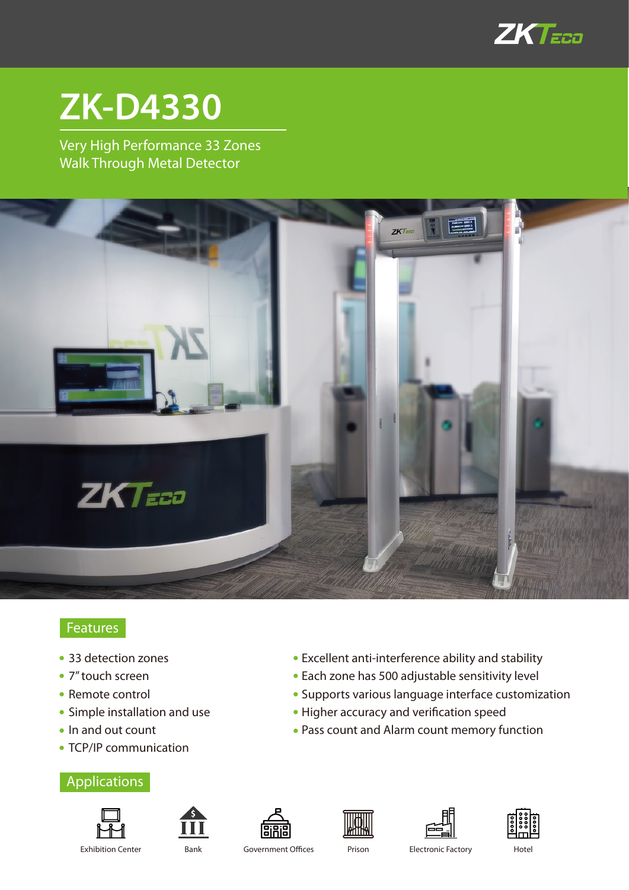

# **ZK-D4330**

Very High Performance 33 Zones Walk Through Metal Detector



## **Features**

- 33 detection zones
- 7" touch screen
- Remote control
- Simple installation and use
- In and out count
- TCP/IP communication

## Applications













Exhibition Center **Bank** Government Offices Prison Electronic Factory Hotel

Excellent anti-interference ability and stability Each zone has 500 adjustable sensitivity level

Pass count and Alarm count memory function

• Higher accuracy and verification speed

Supports various language interface customization

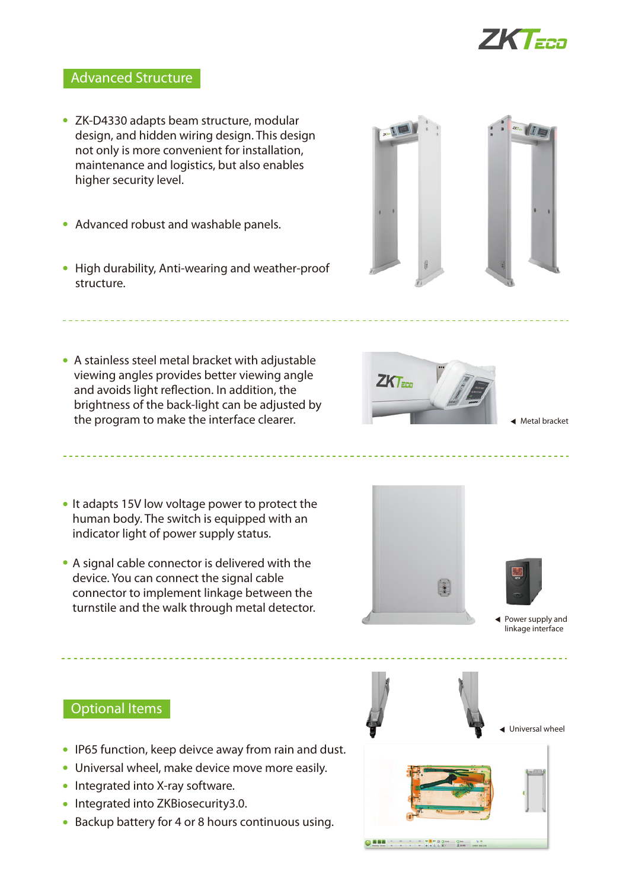

### Advanced Structure

- ZK-D4330 adapts beam structure, modular design, and hidden wiring design. This design not only is more convenient for installation, maintenance and logistics, but also enables higher security level.
- Advanced robust and washable panels.
- High durability, Anti-wearing and weather-proof structure.
- A stainless steel metal bracket with adjustable viewing angles provides better viewing angle and avoids light reflection. In addition, the brightness of the back-light can be adjusted by the program to make the interface clearer.



- It adapts 15V low voltage power to protect the human body. The switch is equipped with an indicator light of power supply status.
- A signal cable connector is delivered with the device. You can connect the signal cable connector to implement linkage between the turnstile and the walk through metal detector.





Power supply and linkage interface

Optional Items

- IP65 function, keep deivce away from rain and dust.
- Universal wheel, make device move more easily.
- Integrated into X-ray software.
- Integrated into ZKBiosecurity3.0.
- Backup battery for 4 or 8 hours continuous using.



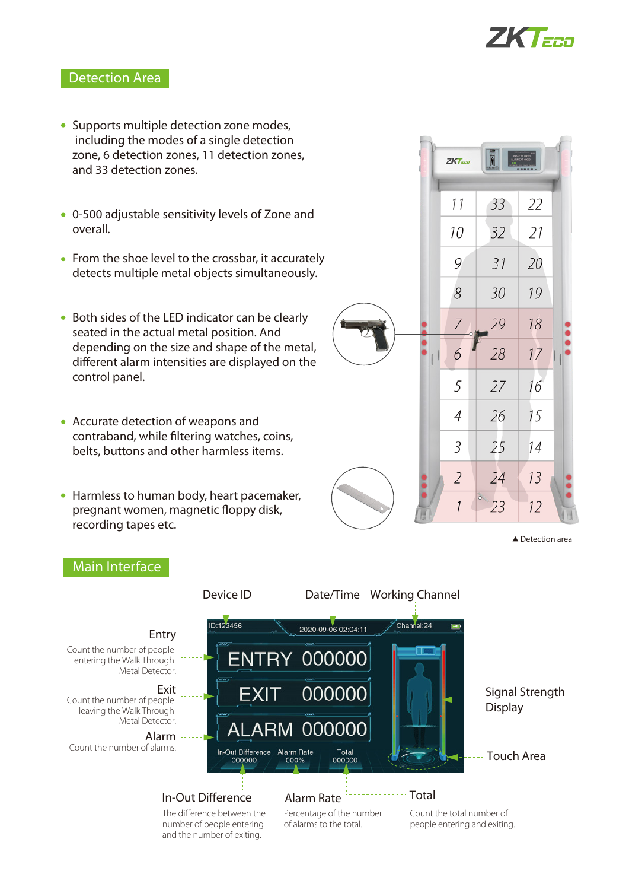

#### Detection Area

- Supports multiple detection zone modes, including the modes of a single detection zone, 6 detection zones, 11 detection zones, and 33 detection zones.
- 0-500 adjustable sensitivity levels of Zone and overall.
- From the shoe level to the crossbar, it accurately detects multiple metal objects simultaneously.
- Both sides of the LED indicator can be clearly seated in the actual metal position. And depending on the size and shape of the metal, different alarm intensities are displayed on the control panel.
- Accurate detection of weapons and contraband, while filtering watches, coins, belts, buttons and other harmless items.
- Harmless to human body, heart pacemaker, pregnant women, magnetic floppy disk, recording tapes etc.



▲ Detection area